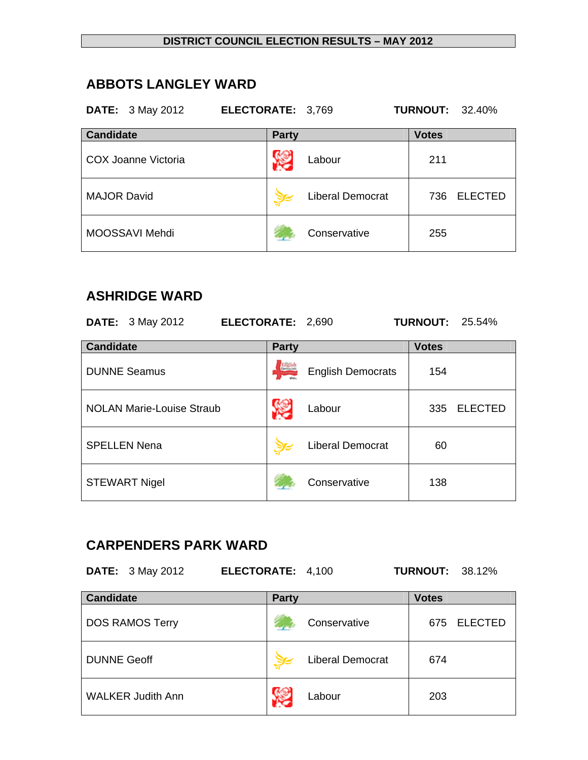### **ABBOTS LANGLEY WARD**

### **DATE:** 3 May 2012 **ELECTORATE:** 3,769 **TURNOUT:** 32.40%

| <b>Candidate</b>    | <b>Party</b>            | <b>Votes</b>          |
|---------------------|-------------------------|-----------------------|
| COX Joanne Victoria | Labour                  | 211                   |
| <b>MAJOR David</b>  | <b>Liberal Democrat</b> | <b>ELECTED</b><br>736 |
| MOOSSAVI Mehdi      | Conservative            | 255                   |

## **ASHRIDGE WARD**

|                  | <b>DATE:</b> 3 May 2012          | ELECTORATE: 2,690 |                |                          | <b>TURNOUT:</b> | 25.54%         |
|------------------|----------------------------------|-------------------|----------------|--------------------------|-----------------|----------------|
| <b>Candidate</b> |                                  |                   | <b>Party</b>   |                          | <b>Votes</b>    |                |
|                  | <b>DUNNE Seamus</b>              |                   | <b>English</b> | <b>English Democrats</b> | 154             |                |
|                  | <b>NOLAN Marie-Louise Straub</b> |                   |                | Labour                   | 335             | <b>ELECTED</b> |
|                  | <b>SPELLEN Nena</b>              |                   |                | <b>Liberal Democrat</b>  | 60              |                |
|                  | <b>STEWART Nigel</b>             |                   |                | Conservative             | 138             |                |

# **CARPENDERS PARK WARD**

**DATE:** 3 May 2012 **ELECTORATE:** 4,100 **TURNOUT:** 38.12%

| <b>Candidate</b>         | <b>Party</b>            | <b>Votes</b>          |
|--------------------------|-------------------------|-----------------------|
| <b>DOS RAMOS Terry</b>   | Conservative            | <b>ELECTED</b><br>675 |
| <b>DUNNE Geoff</b>       | <b>Liberal Democrat</b> | 674                   |
| <b>WALKER Judith Ann</b> | Labour                  | 203                   |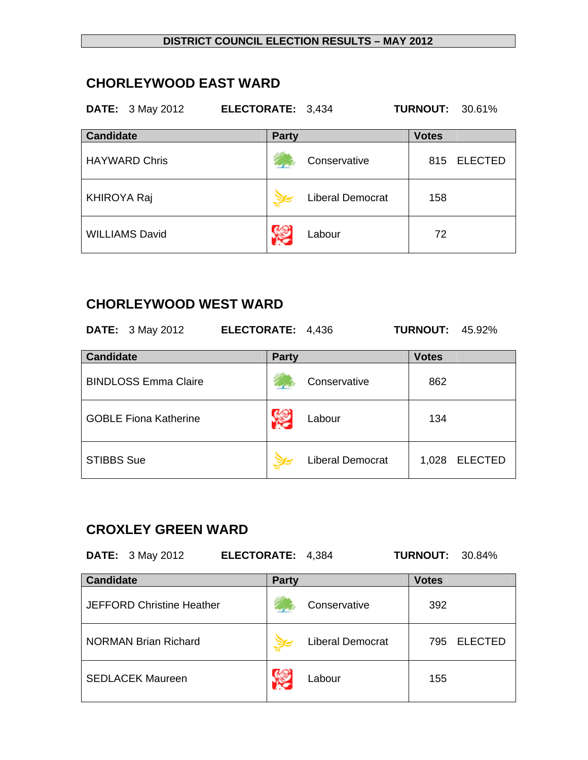## **CHORLEYWOOD EAST WARD**

### **DATE:** 3 May 2012 **ELECTORATE:** 3,434 **TURNOUT:** 30.61%

| <b>Candidate</b>      | <b>Party</b>            | <b>Votes</b>          |
|-----------------------|-------------------------|-----------------------|
| <b>HAYWARD Chris</b>  | Conservative            | <b>ELECTED</b><br>815 |
| <b>KHIROYA Raj</b>    | <b>Liberal Democrat</b> | 158                   |
| <b>WILLIAMS David</b> | Labour                  | 72                    |

# **CHORLEYWOOD WEST WARD**

| <b>DATE:</b> 3 May 2012      | ELECTORATE: 4,436 |                         | <b>TURNOUT:</b> | 45.92%         |
|------------------------------|-------------------|-------------------------|-----------------|----------------|
| <b>Candidate</b>             | <b>Party</b>      |                         | <b>Votes</b>    |                |
| <b>BINDLOSS Emma Claire</b>  |                   | Conservative            | 862             |                |
| <b>GOBLE Fiona Katherine</b> |                   | Labour                  | 134             |                |
| <b>STIBBS Sue</b>            |                   | <b>Liberal Democrat</b> | 1,028           | <b>ELECTED</b> |

# **CROXLEY GREEN WARD**

| <b>DATE:</b> 3 May 2012<br>ELECTORATE: 4,384 |              |                         | <b>TURNOUT:</b> | 30.84%         |
|----------------------------------------------|--------------|-------------------------|-----------------|----------------|
| <b>Candidate</b>                             | <b>Party</b> |                         | <b>Votes</b>    |                |
| <b>JEFFORD Christine Heather</b>             |              | Conservative            | 392             |                |
| <b>NORMAN Brian Richard</b>                  |              | <b>Liberal Democrat</b> | 795             | <b>ELECTED</b> |
| <b>SEDLACEK Maureen</b>                      |              | Labour                  | 155             |                |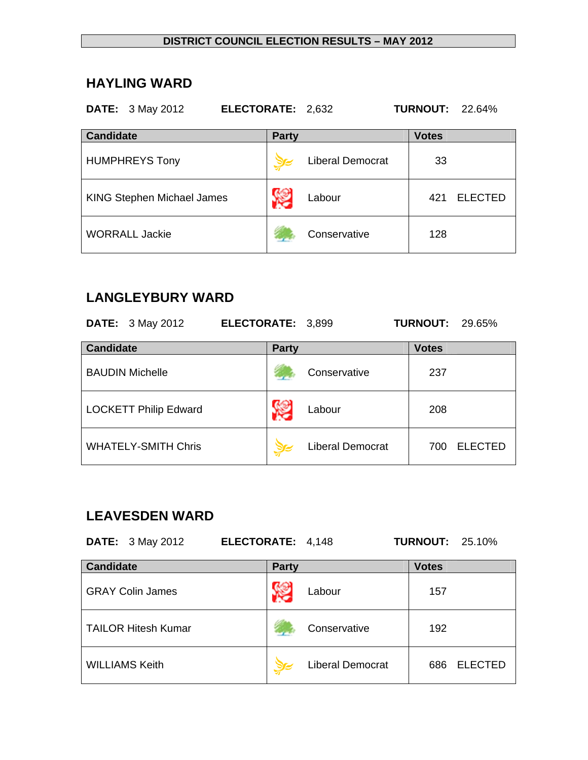### **HAYLING WARD**

### **DATE:** 3 May 2012 **ELECTORATE:** 2,632 **TURNOUT:** 22.64%

| <b>Candidate</b>                  | <b>Party</b>            | <b>Votes</b>          |
|-----------------------------------|-------------------------|-----------------------|
| <b>HUMPHREYS Tony</b>             | <b>Liberal Democrat</b> | 33                    |
| <b>KING Stephen Michael James</b> | Y.<br>Labour            | <b>ELECTED</b><br>421 |
| <b>WORRALL Jackie</b>             | Conservative            | 128                   |

## **LANGLEYBURY WARD**

| <b>DATE:</b> 3 May 2012      | ELECTORATE: 3,899 |                         | <b>TURNOUT:</b> | 29.65%         |
|------------------------------|-------------------|-------------------------|-----------------|----------------|
| <b>Candidate</b>             | <b>Party</b>      |                         | <b>Votes</b>    |                |
| <b>BAUDIN Michelle</b>       |                   | Conservative            | 237             |                |
| <b>LOCKETT Philip Edward</b> |                   | Labour                  | 208             |                |
| <b>WHATELY-SMITH Chris</b>   |                   | <b>Liberal Democrat</b> | 700             | <b>ELECTED</b> |

## **LEAVESDEN WARD**

| <b>DATE:</b> 3 May 2012 | ELECTORATE: 4,148 | <b>TURNOUT: 25.10%</b> |
|-------------------------|-------------------|------------------------|
| <b>Candidate</b>        | <b>Party</b>      | <b>Votes</b>           |
| GRAY Colin James        | l ahour           | 157                    |

| <b>GRAY Colin James</b>    | Labour                  | 157 |                |
|----------------------------|-------------------------|-----|----------------|
| <b>TAILOR Hitesh Kumar</b> | Conservative            | 192 |                |
| <b>WILLIAMS Keith</b>      | <b>Liberal Democrat</b> | 686 | <b>ELECTED</b> |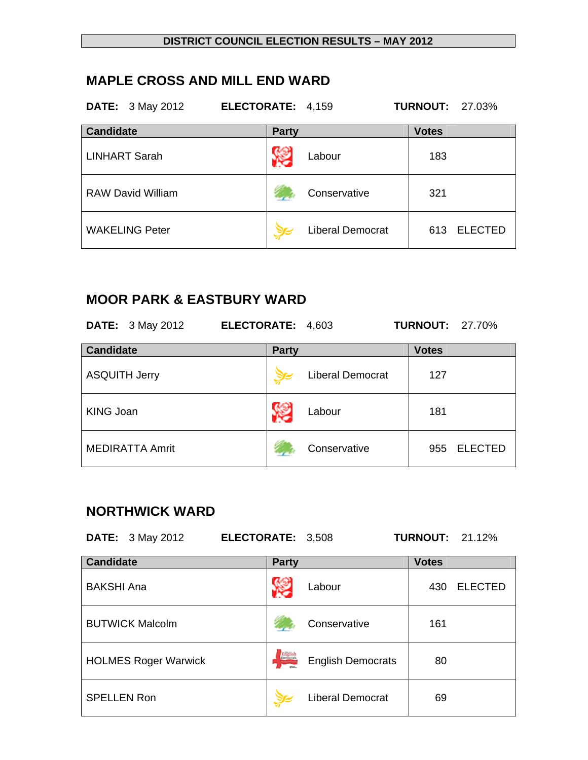## **MAPLE CROSS AND MILL END WARD**

| <b>DATE:</b> 3 May 2012  | ELECTORATE: 4,159 |                         | <b>TURNOUT: 27.03%</b> |                |
|--------------------------|-------------------|-------------------------|------------------------|----------------|
| <b>Candidate</b>         | <b>Party</b>      |                         | <b>Votes</b>           |                |
| <b>LINHART Sarah</b>     |                   | Labour                  | 183                    |                |
| <b>RAW David William</b> |                   | Conservative            | 321                    |                |
| <b>WAKELING Peter</b>    |                   | <b>Liberal Democrat</b> | 613                    | <b>ELECTED</b> |

# **MOOR PARK & EASTBURY WARD**

| <b>DATE:</b> 3 May 2012 | ELECTORATE: 4,603 |                         | <b>TURNOUT: 27.70%</b> |                |
|-------------------------|-------------------|-------------------------|------------------------|----------------|
| <b>Candidate</b>        | <b>Party</b>      |                         | <b>Votes</b>           |                |
| <b>ASQUITH Jerry</b>    |                   | <b>Liberal Democrat</b> | 127                    |                |
| <b>KING Joan</b>        |                   | Labour                  | 181                    |                |
| <b>MEDIRATTA Amrit</b>  |                   | Conservative            | 955                    | <b>ELECTED</b> |

# **NORTHWICK WARD**

|                    | <b>DATE:</b> 3 May 2012     | ELECTORATE: 3,508 |                |                          | <b>TURNOUT: 21.12%</b> |                |
|--------------------|-----------------------------|-------------------|----------------|--------------------------|------------------------|----------------|
| <b>Candidate</b>   |                             |                   | <b>Party</b>   |                          | <b>Votes</b>           |                |
| <b>BAKSHI Ana</b>  |                             |                   |                | Labour                   | 430                    | <b>ELECTED</b> |
|                    | <b>BUTWICK Malcolm</b>      |                   |                | Conservative             | 161                    |                |
|                    | <b>HOLMES Roger Warwick</b> |                   | <b>Existin</b> | <b>English Democrats</b> | 80                     |                |
| <b>SPELLEN Ron</b> |                             |                   |                | <b>Liberal Democrat</b>  | 69                     |                |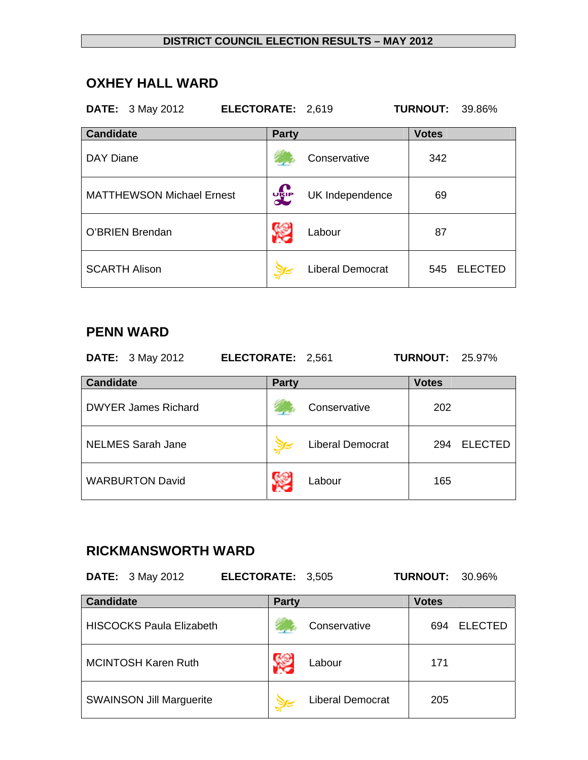## **OXHEY HALL WARD**

|                  | <b>DATE:</b> 3 May 2012          | ELECTORATE: 2,619 |              |                         | <b>TURNOUT:</b> | 39.86%         |
|------------------|----------------------------------|-------------------|--------------|-------------------------|-----------------|----------------|
| <b>Candidate</b> |                                  |                   | <b>Party</b> |                         | <b>Votes</b>    |                |
| DAY Diane        |                                  |                   |              | Conservative            | 342             |                |
|                  | <b>MATTHEWSON Michael Ernest</b> |                   | <b>DELP</b>  | UK Independence         | 69              |                |
|                  | O'BRIEN Brendan                  |                   |              | Labour                  | 87              |                |
|                  | <b>SCARTH Alison</b>             |                   |              | <b>Liberal Democrat</b> | 545             | <b>ELECTED</b> |

### **PENN WARD**

| <b>DATE:</b> 3 May 2012    | ELECTORATE: 2,561 |                         | <b>TURNOUT: 25.97%</b> |                |
|----------------------------|-------------------|-------------------------|------------------------|----------------|
| <b>Candidate</b>           | <b>Party</b>      |                         | <b>Votes</b>           |                |
| <b>DWYER James Richard</b> |                   | Conservative            | 202                    |                |
| <b>NELMES Sarah Jane</b>   |                   | <b>Liberal Democrat</b> | 294                    | <b>ELECTED</b> |
| <b>WARBURTON David</b>     |                   | Labour                  | 165                    |                |

## **RICKMANSWORTH WARD**

**DATE:** 3 May 2012 **ELECTORATE:** 3,505 **TURNOUT:** 30.96%

| <b>Candidate</b>                | <b>Party</b>            | <b>Votes</b>          |
|---------------------------------|-------------------------|-----------------------|
| <b>HISCOCKS Paula Elizabeth</b> | Conservative            | <b>ELECTED</b><br>694 |
| <b>MCINTOSH Karen Ruth</b>      | Labour                  | 171                   |
| <b>SWAINSON Jill Marguerite</b> | <b>Liberal Democrat</b> | 205                   |